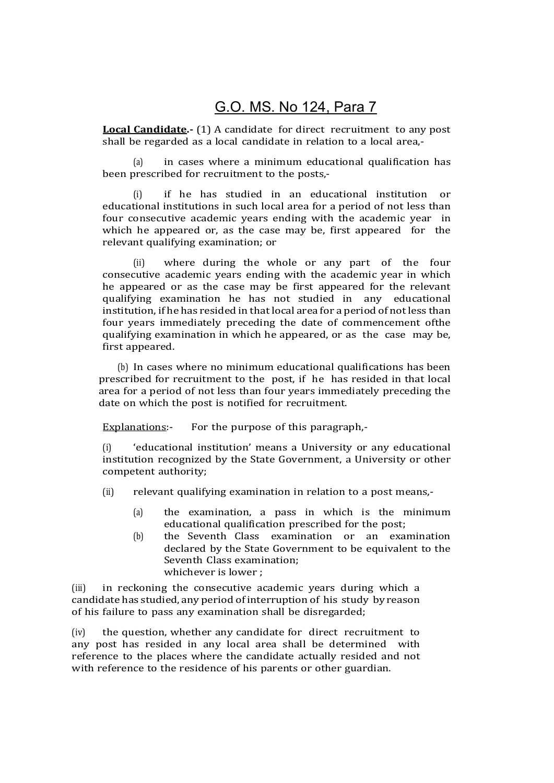## G.O. MS. No 124, Para 7

Local Candidate.- (1) A candidate for direct recruitment to any post shall be regarded as a local candidate in relation to a local area,-

(a) in cases where a minimum educational qualification has been prescribed for recruitment to the posts,-

(i) if he has studied in an educational institution or educational institutions in such local area for a period of not less than four consecutive academic years ending with the academic year in which he appeared or, as the case may be, first appeared for the relevant qualifying examination; or

(ii) where during the whole or any part of the four consecutive academic years ending with the academic year in which he appeared or as the case may be first appeared for the relevant qualifying examination he has not studied in any educational institution, if he has resided in that local area for a period of not less than four years immediately preceding the date of commencement of the qualifying examination in which he appeared, or as the case may be, first appeared.

(b) In cases where no minimum educational qualifications has been prescribed for recruitment to the post, if he has resided in that local area for a period of not less than four years immediately preceding the date on which the post is notified for recruitment.

Explanations:- For the purpose of this paragraph,-

(i) 'educational institution' means a University or any educational institution recognized by the State Government, a University or other competent authority;

- (ii) relevant qualifying examination in relation to a post means,-
	- (a) the examination, a pass in which is the minimum educational qualification prescribed for the post;
	- (b) the Seventh Class examination or an examination declared by the State Government to be equivalent to the Seventh Class examination; whichever is lower ;

(iii) in reckoning the consecutive academic years during which a candidate has studied, any period of interruption of his study by reason of his failure to pass any examination shall be disregarded;

(iv) the question, whether any candidate for direct recruitment to any post has resided in any local area shall be determined with reference to the places where the candidate actually resided and not with reference to the residence of his parents or other guardian.